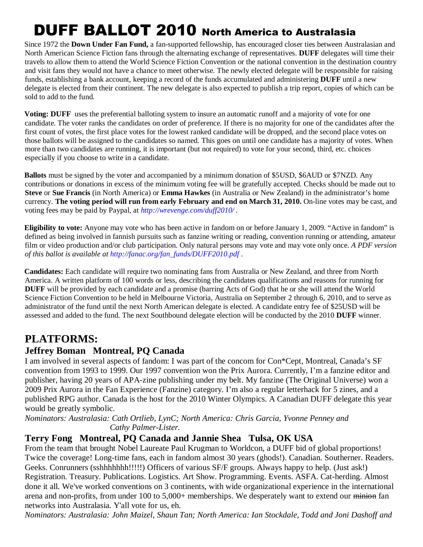# DUFF BALLOT 2010 North America to Australasia

 Since 1972 the **Down Under Fan Fund,** a fan-supported fellowship, has encouraged closer ties between Australasian and North American Science Fiction fans through the alternating exchange of representatives. **DUFF** delegates will time their travels to allow them to attend the World Science Fiction Convention or the national convention in the destination country and visit fans they would not have a chance to meet otherwise. The newly elected delegate will be responsible for raising funds, establishing a bank account, keeping a record of the funds accumulated and administering **DUFF** until a new delegate is elected from their continent. The new delegate is also expected to publish a trip report, copies of which can be sold to add to the fund.

**Voting: DUFF** uses the preferential balloting system to insure an automatic runoff and a majority of vote for one candidate. The voter ranks the candidates on order of preference. If there is no majority for one of the candidates after the first count of votes, the first place votes for the lowest ranked candidate will be dropped, and the second place votes on those ballots will be assigned to the candidates so named. This goes on until one candidate has a majority of votes. When more than two candidates are running, it is important (but not required) to vote for your second, third, etc. choices especially if you choose to write in a candidate.

 **Ballots** must be signed by the voter and accompanied by a minimum donation of \$5USD, \$6AUD or \$7NZD. Any contributions or donations in excess of the minimum voting fee will be gratefully accepted. Checks should be made out to **Steve** or **Sue Francis** (in North America) or **Emma Hawkes** (in Australia or New Zealand) in the administrator's home currency. **The voting period will run from early February and end on March 31, 2010.** On-line votes may be cast, and voting fees may be paid by Paypal, at *http://wrevenge.com/duff2010/ .*

 **Eligibility to vote:** Anyone may vote who has been active in fandom on or before January 1, 2009. "Active in fandom" is defined as being involved in fannish pursuits such as fanzine writing or reading, convention running or attending, amateur film or video production and/or club participation. Only natural persons may vote and may vote only once. *A PDF version of this ballot is available at http://fanac.org/fan\_funds/DUFF2010.pdf .*

 **Candidates:** Each candidate will require two nominating fans from Australia or New Zealand, and three from North America. A written platform of 100 words or less, describing the candidates qualifications and reasons for running for **DUFF** will be provided by each candidate and a promise (barring Acts of God) that he or she will attend the World Science Fiction Convention to be held in Melbourne Victoria, Australia on September 2 through 6, 2010, and to serve as administrator of the fund until the next North American delegate is elected. A candidate entry fee of \$25USD will be assessed and added to the fund. The next Southbound delegate election will be conducted by the 2010 **DUFF** winner.

## **PLATFORMS:**

## **Jeffrey Boman Montreal, PQ Canada**

I am involved in several aspects of fandom: I was part of the concom for Con\*Cept, Montreal, Canada's SF convention from 1993 to 1999. Our 1997 convention won the Prix Aurora. Currently, I'm a fanzine editor and publisher, having 20 years of APA-zine publishing under my belt. My fanzine (The Original Universe) won a 2009 Prix Aurora in the Fan Experience (Fanzine) category. I'm also a regular letterhack for 5 zines, and a published RPG author. Canada is the host for the 2010 Winter Olympics. A Canadian DUFF delegate this year would be greatly symbolic.

*Nominators: Australasia: Cath Ortlieb, LynC; North America: Chris Garcia, Yvonne Penney and Cathy Palmer-Lister.* 

## **Terry Fong Montreal, PQ Canada and Jannie Shea Tulsa, OK USA**

From the team that brought Nobel Laureate Paul Krugman to Worldcon, a DUFF bid of global proportions! Twice the coverage! Long-time fans, each in fandom almost 30 years (ghods!). Canadian. Southerner. Readers. Geeks. Conrunners (sshhhhhhh!!!!!) Officers of various SF/F groups. Always happy to help. (Just ask!) Registration. Treasury. Publications. Logistics. Art Show. Programming. Events. ASFA. Cat-herding. Almost done it all. We've worked conventions on 3 continents, with wide organizational experience in the international arena and non-profits, from under 100 to 5,000+ memberships. We desperately want to extend our minion fan networks into Australasia. Y'all vote for us, eh.

*Nominators: Australasia: John Maizel, Shaun Tan; North America: Ian Stockdale, Todd and Joni Dashoff and*